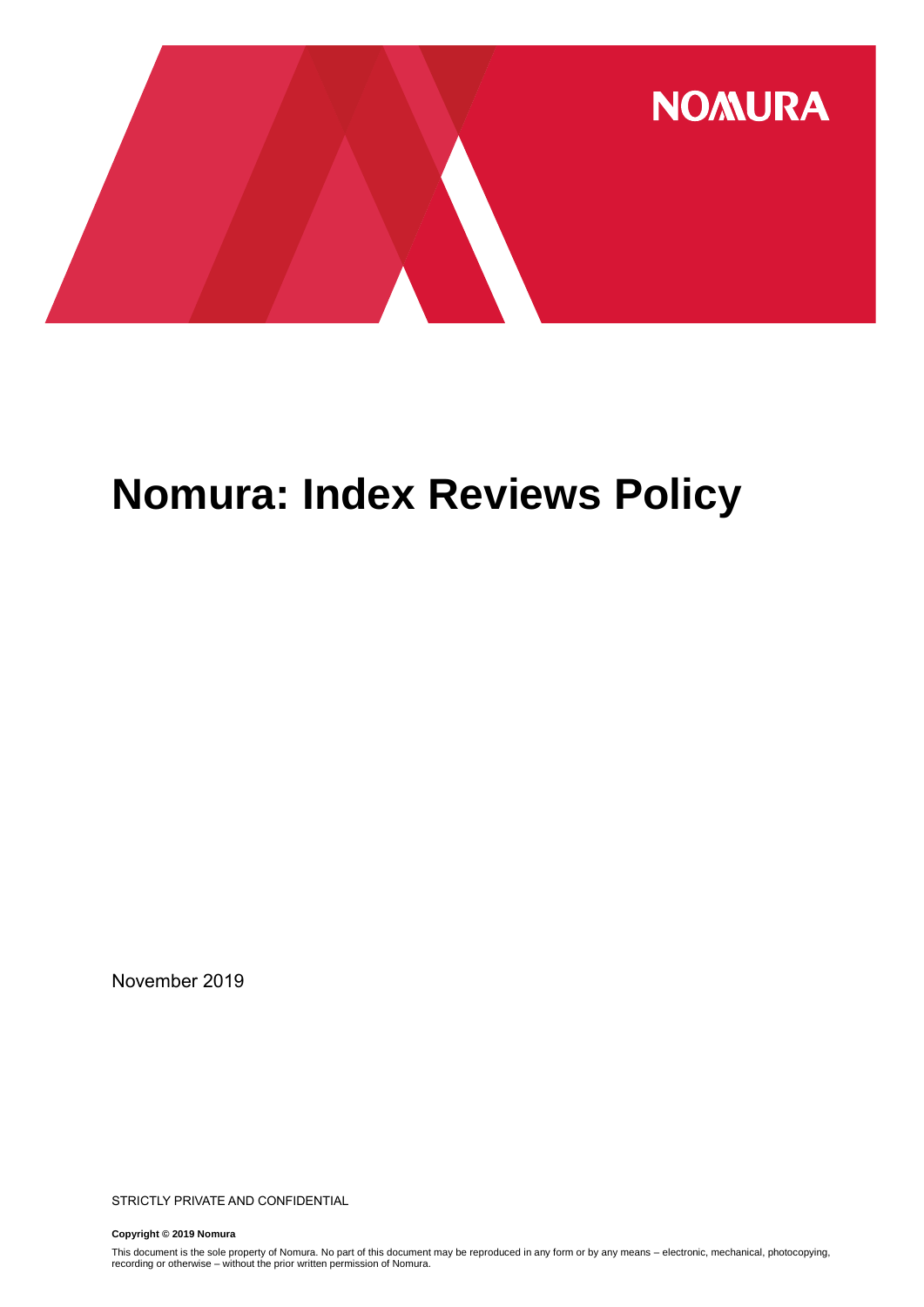

## **Nomura: Index Reviews Policy**

November 2019

STRICTLY PRIVATE AND CONFIDENTIAL

**Copyright © 2019 Nomura**

This document is the sole property of Nomura. No part of this document may be reproduced in any form or by any means – electronic, mechanical, photocopying,<br>recording or otherwise – without the prior written permission of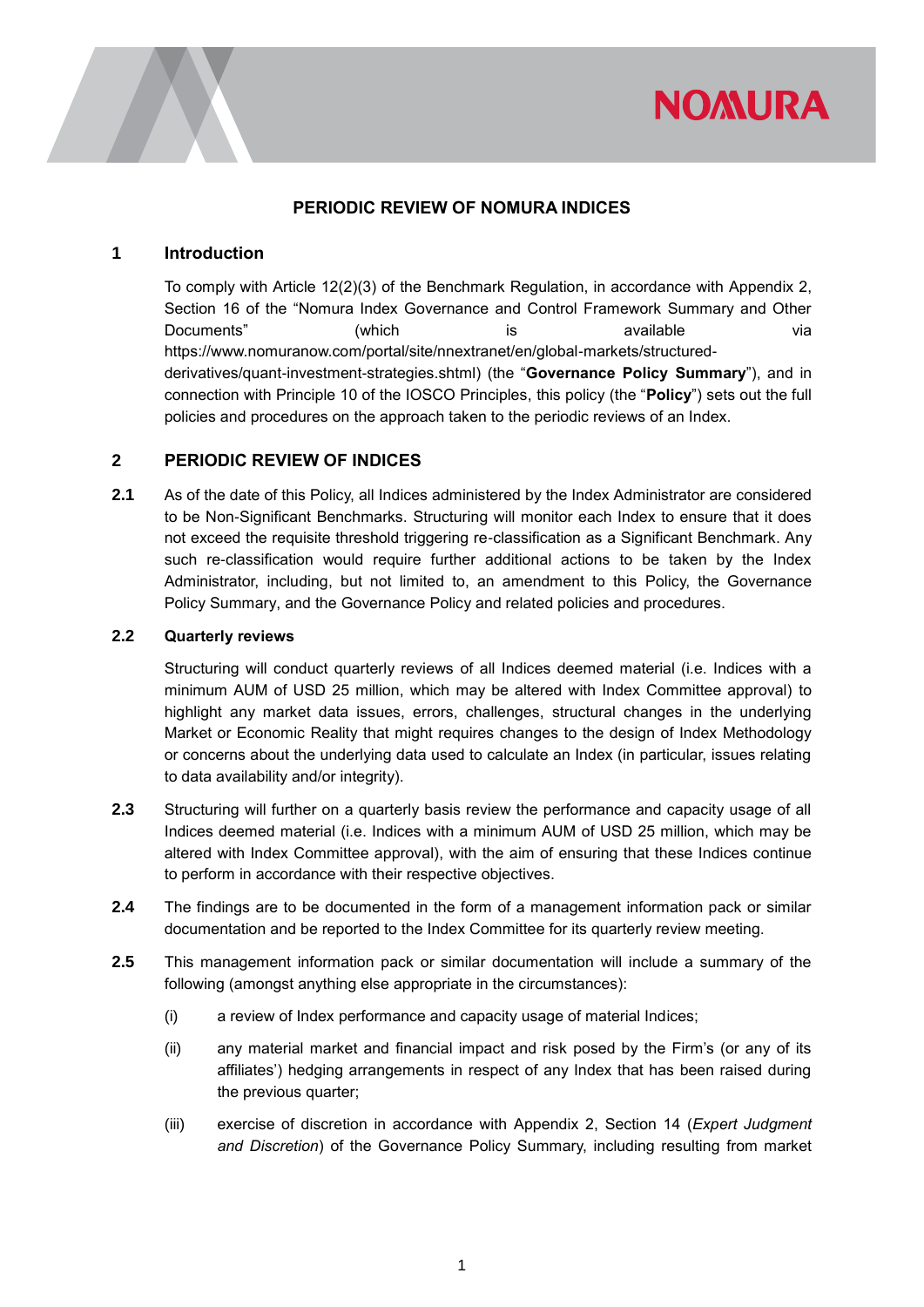

#### **PERIODIC REVIEW OF NOMURA INDICES**

#### **1 Introduction**

To comply with Article 12(2)(3) of the Benchmark Regulation, in accordance with Appendix 2, Section 16 of the "Nomura Index Governance and Control Framework Summary and Other Documents" (which is available via [https://www.nomuranow.com/portal/site/nnextranet/en/global-markets/structured](https://urldefense.proofpoint.com/v2/url?u=https-3A__www.nomuranow.com_portal_site_nnextranet_en_global-2Dmarkets_structured-2Dderivatives_quant-2Dinvestment-2Dstrategies.shtml&d=DwMF-g&c=qQy84HidZKks1AzH1tNzCKFxsPy43_OhvfM1avj4FME&r=PaGL0ZZJjOQgMpEx-QaHGeFUrrKifYZ_mm91W_Z0ftI&m=fYx5IJkzE82Esj3HzUwFHdO5LnvQiDxIZ87xNX8mfv8&s=LPTxtzr1HDSxR3nqUd4uGYzpxmSBUdg8C7PleFUb1CY&e=)[derivatives/quant-investment-strategies.shtml\)](https://urldefense.proofpoint.com/v2/url?u=https-3A__www.nomuranow.com_portal_site_nnextranet_en_global-2Dmarkets_structured-2Dderivatives_quant-2Dinvestment-2Dstrategies.shtml&d=DwMF-g&c=qQy84HidZKks1AzH1tNzCKFxsPy43_OhvfM1avj4FME&r=PaGL0ZZJjOQgMpEx-QaHGeFUrrKifYZ_mm91W_Z0ftI&m=fYx5IJkzE82Esj3HzUwFHdO5LnvQiDxIZ87xNX8mfv8&s=LPTxtzr1HDSxR3nqUd4uGYzpxmSBUdg8C7PleFUb1CY&e=) (the "**Governance Policy Summary**"), and in connection with Principle 10 of the IOSCO Principles, this policy (the "**Policy**") sets out the full policies and procedures on the approach taken to the periodic reviews of an Index.

### **2 PERIODIC REVIEW OF INDICES**

**2.1** As of the date of this Policy, all Indices administered by the Index Administrator are considered to be Non-Significant Benchmarks. Structuring will monitor each Index to ensure that it does not exceed the requisite threshold triggering re-classification as a Significant Benchmark. Any such re-classification would require further additional actions to be taken by the Index Administrator, including, but not limited to, an amendment to this Policy, the Governance Policy Summary, and the Governance Policy and related policies and procedures.

#### **2.2 Quarterly reviews**

Structuring will conduct quarterly reviews of all Indices deemed material (i.e. Indices with a minimum AUM of USD 25 million, which may be altered with Index Committee approval) to highlight any market data issues, errors, challenges, structural changes in the underlying Market or Economic Reality that might requires changes to the design of Index Methodology or concerns about the underlying data used to calculate an Index (in particular, issues relating to data availability and/or integrity).

- **2.3** Structuring will further on a quarterly basis review the performance and capacity usage of all Indices deemed material (i.e. Indices with a minimum AUM of USD 25 million, which may be altered with Index Committee approval), with the aim of ensuring that these Indices continue to perform in accordance with their respective objectives.
- **2.4** The findings are to be documented in the form of a management information pack or similar documentation and be reported to the Index Committee for its quarterly review meeting.
- **2.5** This management information pack or similar documentation will include a summary of the following (amongst anything else appropriate in the circumstances):
	- (i) a review of Index performance and capacity usage of material Indices;
	- (ii) any material market and financial impact and risk posed by the Firm's (or any of its affiliates') hedging arrangements in respect of any Index that has been raised during the previous quarter;
	- (iii) exercise of discretion in accordance with Appendix 2, Section 14 (*Expert Judgment and Discretion*) of the Governance Policy Summary, including resulting from market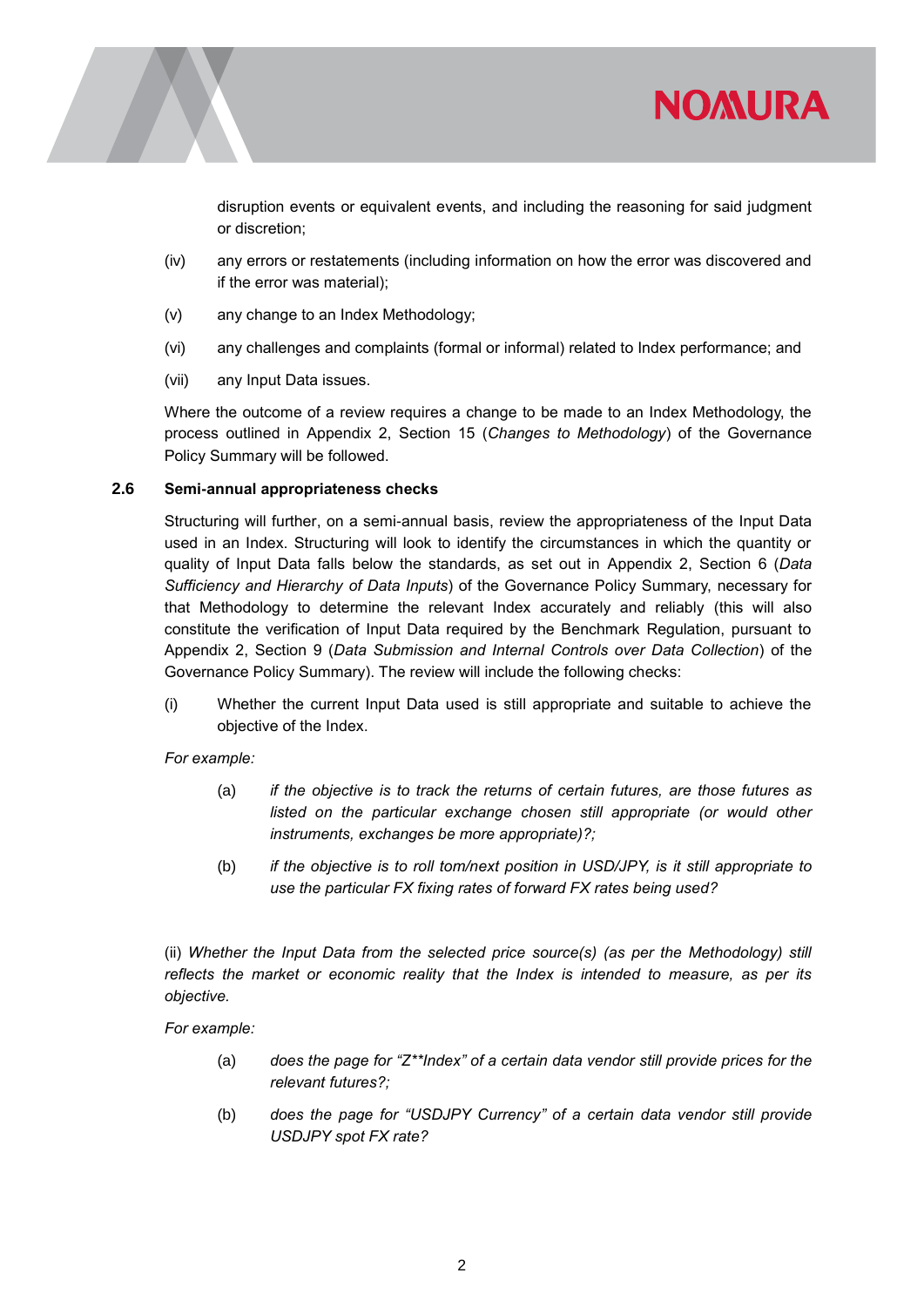

disruption events or equivalent events, and including the reasoning for said judgment or discretion;

**NOMURA** 

- (iv) any errors or restatements (including information on how the error was discovered and if the error was material);
- (v) any change to an Index Methodology;
- (vi) any challenges and complaints (formal or informal) related to Index performance; and
- (vii) any Input Data issues.

Where the outcome of a review requires a change to be made to an Index Methodology, the process outlined in Appendix 2, Section 15 (*Changes to Methodology*) of the Governance Policy Summary will be followed.

#### **2.6 Semi-annual appropriateness checks**

Structuring will further, on a semi-annual basis, review the appropriateness of the Input Data used in an Index. Structuring will look to identify the circumstances in which the quantity or quality of Input Data falls below the standards, as set out in Appendix 2, Section 6 (*Data Sufficiency and Hierarchy of Data Inputs*) of the Governance Policy Summary, necessary for that Methodology to determine the relevant Index accurately and reliably (this will also constitute the verification of Input Data required by the Benchmark Regulation, pursuant to Appendix 2, Section 9 (*Data Submission and Internal Controls over Data Collection*) of the Governance Policy Summary). The review will include the following checks:

(i) Whether the current Input Data used is still appropriate and suitable to achieve the objective of the Index.

*For example:*

- (a) *if the objective is to track the returns of certain futures, are those futures as listed on the particular exchange chosen still appropriate (or would other instruments, exchanges be more appropriate)?;*
- (b) *if the objective is to roll tom/next position in USD/JPY, is it still appropriate to use the particular FX fixing rates of forward FX rates being used?*

(ii) *Whether the Input Data from the selected price source(s) (as per the Methodology) still reflects the market or economic reality that the Index is intended to measure, as per its objective.*

*For example:*

- (a) *does the page for "Z\*\*Index" of a certain data vendor still provide prices for the relevant futures?;*
- (b) *does the page for "USDJPY Currency" of a certain data vendor still provide USDJPY spot FX rate?*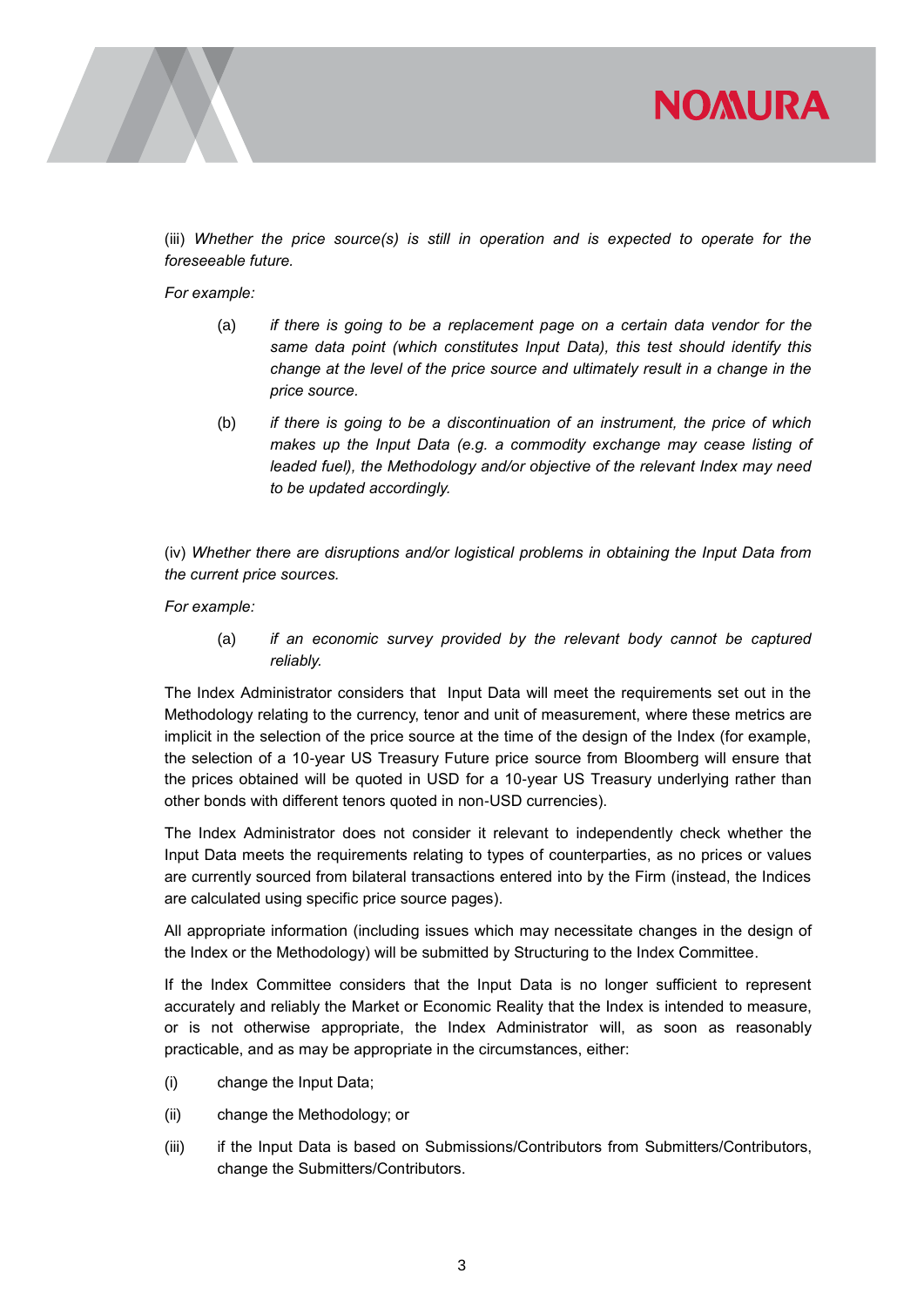

(iii) *Whether the price source(s) is still in operation and is expected to operate for the foreseeable future.*

*For example:*

- (a) *if there is going to be a replacement page on a certain data vendor for the same data point (which constitutes Input Data), this test should identify this change at the level of the price source and ultimately result in a change in the price source.*
- (b) *if there is going to be a discontinuation of an instrument, the price of which makes up the Input Data (e.g. a commodity exchange may cease listing of leaded fuel), the Methodology and/or objective of the relevant Index may need to be updated accordingly.*

(iv) *Whether there are disruptions and/or logistical problems in obtaining the Input Data from the current price sources.*

*For example:*

(a) *if an economic survey provided by the relevant body cannot be captured reliably.*

The Index Administrator considers that Input Data will meet the requirements set out in the Methodology relating to the currency, tenor and unit of measurement, where these metrics are implicit in the selection of the price source at the time of the design of the Index (for example, the selection of a 10-year US Treasury Future price source from Bloomberg will ensure that the prices obtained will be quoted in USD for a 10-year US Treasury underlying rather than other bonds with different tenors quoted in non-USD currencies).

The Index Administrator does not consider it relevant to independently check whether the Input Data meets the requirements relating to types of counterparties, as no prices or values are currently sourced from bilateral transactions entered into by the Firm (instead, the Indices are calculated using specific price source pages).

All appropriate information (including issues which may necessitate changes in the design of the Index or the Methodology) will be submitted by Structuring to the Index Committee.

If the Index Committee considers that the Input Data is no longer sufficient to represent accurately and reliably the Market or Economic Reality that the Index is intended to measure, or is not otherwise appropriate, the Index Administrator will, as soon as reasonably practicable, and as may be appropriate in the circumstances, either:

- (i) change the Input Data;
- (ii) change the Methodology; or
- (iii) if the Input Data is based on Submissions/Contributors from Submitters/Contributors, change the Submitters/Contributors.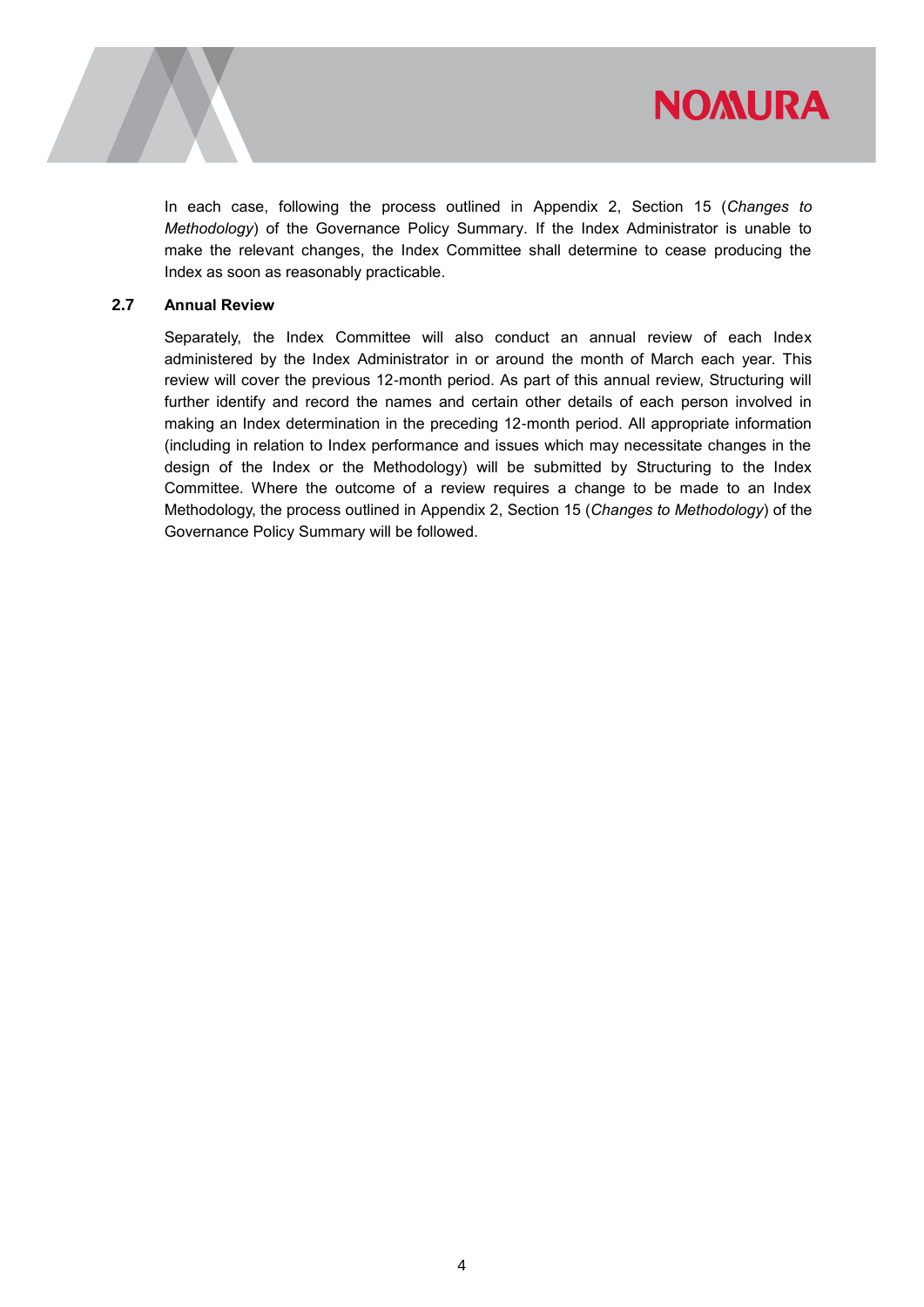

In each case, following the process outlined in Appendix 2, Section 15 (*Changes to Methodology*) of the Governance Policy Summary. If the Index Administrator is unable to make the relevant changes, the Index Committee shall determine to cease producing the Index as soon as reasonably practicable.

#### **2.7 Annual Review**

Separately, the Index Committee will also conduct an annual review of each Index administered by the Index Administrator in or around the month of March each year. This review will cover the previous 12-month period. As part of this annual review, Structuring will further identify and record the names and certain other details of each person involved in making an Index determination in the preceding 12-month period. All appropriate information (including in relation to Index performance and issues which may necessitate changes in the design of the Index or the Methodology) will be submitted by Structuring to the Index Committee. Where the outcome of a review requires a change to be made to an Index Methodology, the process outlined in Appendix 2, Section 15 (*Changes to Methodology*) of the Governance Policy Summary will be followed.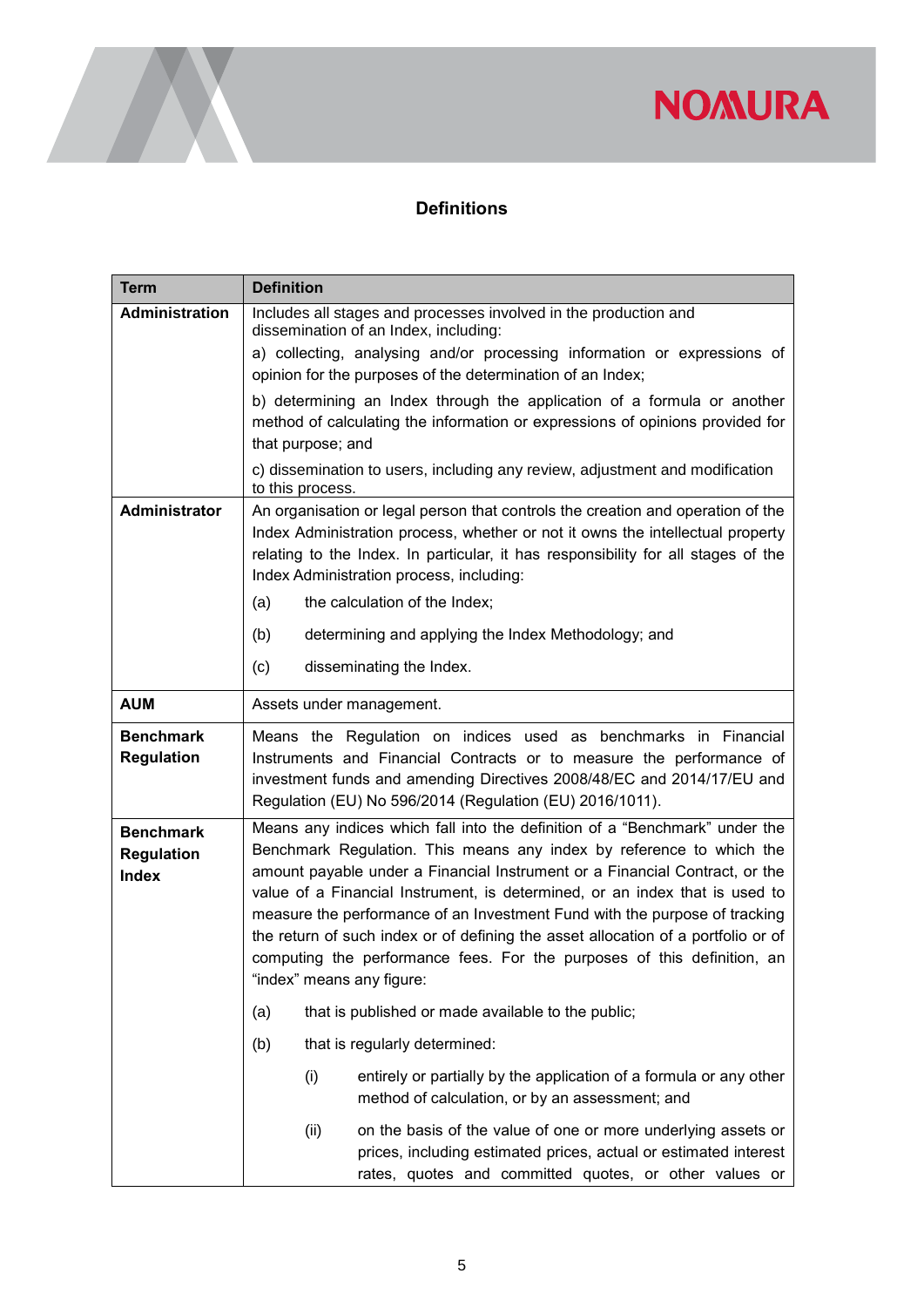### **Definitions**

| <b>Term</b>                                           | <b>Definition</b>                                                                                                                                                                                                                                                                                                                                                                                                                                                                                                                                                                            |
|-------------------------------------------------------|----------------------------------------------------------------------------------------------------------------------------------------------------------------------------------------------------------------------------------------------------------------------------------------------------------------------------------------------------------------------------------------------------------------------------------------------------------------------------------------------------------------------------------------------------------------------------------------------|
| <b>Administration</b>                                 | Includes all stages and processes involved in the production and<br>dissemination of an Index, including:                                                                                                                                                                                                                                                                                                                                                                                                                                                                                    |
|                                                       | a) collecting, analysing and/or processing information or expressions of<br>opinion for the purposes of the determination of an Index;                                                                                                                                                                                                                                                                                                                                                                                                                                                       |
|                                                       | b) determining an Index through the application of a formula or another<br>method of calculating the information or expressions of opinions provided for<br>that purpose; and                                                                                                                                                                                                                                                                                                                                                                                                                |
|                                                       | c) dissemination to users, including any review, adjustment and modification<br>to this process.                                                                                                                                                                                                                                                                                                                                                                                                                                                                                             |
| Administrator                                         | An organisation or legal person that controls the creation and operation of the<br>Index Administration process, whether or not it owns the intellectual property<br>relating to the Index. In particular, it has responsibility for all stages of the<br>Index Administration process, including:<br>the calculation of the Index;<br>(a)                                                                                                                                                                                                                                                   |
|                                                       | (b)<br>determining and applying the Index Methodology; and                                                                                                                                                                                                                                                                                                                                                                                                                                                                                                                                   |
|                                                       | (c)<br>disseminating the Index.                                                                                                                                                                                                                                                                                                                                                                                                                                                                                                                                                              |
| <b>AUM</b>                                            | Assets under management.                                                                                                                                                                                                                                                                                                                                                                                                                                                                                                                                                                     |
| <b>Benchmark</b><br><b>Regulation</b>                 | Means the Regulation on indices used as benchmarks in Financial<br>Instruments and Financial Contracts or to measure the performance of<br>investment funds and amending Directives 2008/48/EC and 2014/17/EU and<br>Regulation (EU) No 596/2014 (Regulation (EU) 2016/1011).                                                                                                                                                                                                                                                                                                                |
| <b>Benchmark</b><br><b>Regulation</b><br><b>Index</b> | Means any indices which fall into the definition of a "Benchmark" under the<br>Benchmark Regulation. This means any index by reference to which the<br>amount payable under a Financial Instrument or a Financial Contract, or the<br>value of a Financial Instrument, is determined, or an index that is used to<br>measure the performance of an Investment Fund with the purpose of tracking<br>the return of such index or of defining the asset allocation of a portfolio or of<br>computing the performance fees. For the purposes of this definition, an<br>"index" means any figure: |
|                                                       | that is published or made available to the public;<br>(a)                                                                                                                                                                                                                                                                                                                                                                                                                                                                                                                                    |
|                                                       | (b)<br>that is regularly determined:                                                                                                                                                                                                                                                                                                                                                                                                                                                                                                                                                         |
|                                                       | (i)<br>entirely or partially by the application of a formula or any other<br>method of calculation, or by an assessment; and                                                                                                                                                                                                                                                                                                                                                                                                                                                                 |
|                                                       | on the basis of the value of one or more underlying assets or<br>(ii)<br>prices, including estimated prices, actual or estimated interest<br>rates, quotes and committed quotes, or other values or                                                                                                                                                                                                                                                                                                                                                                                          |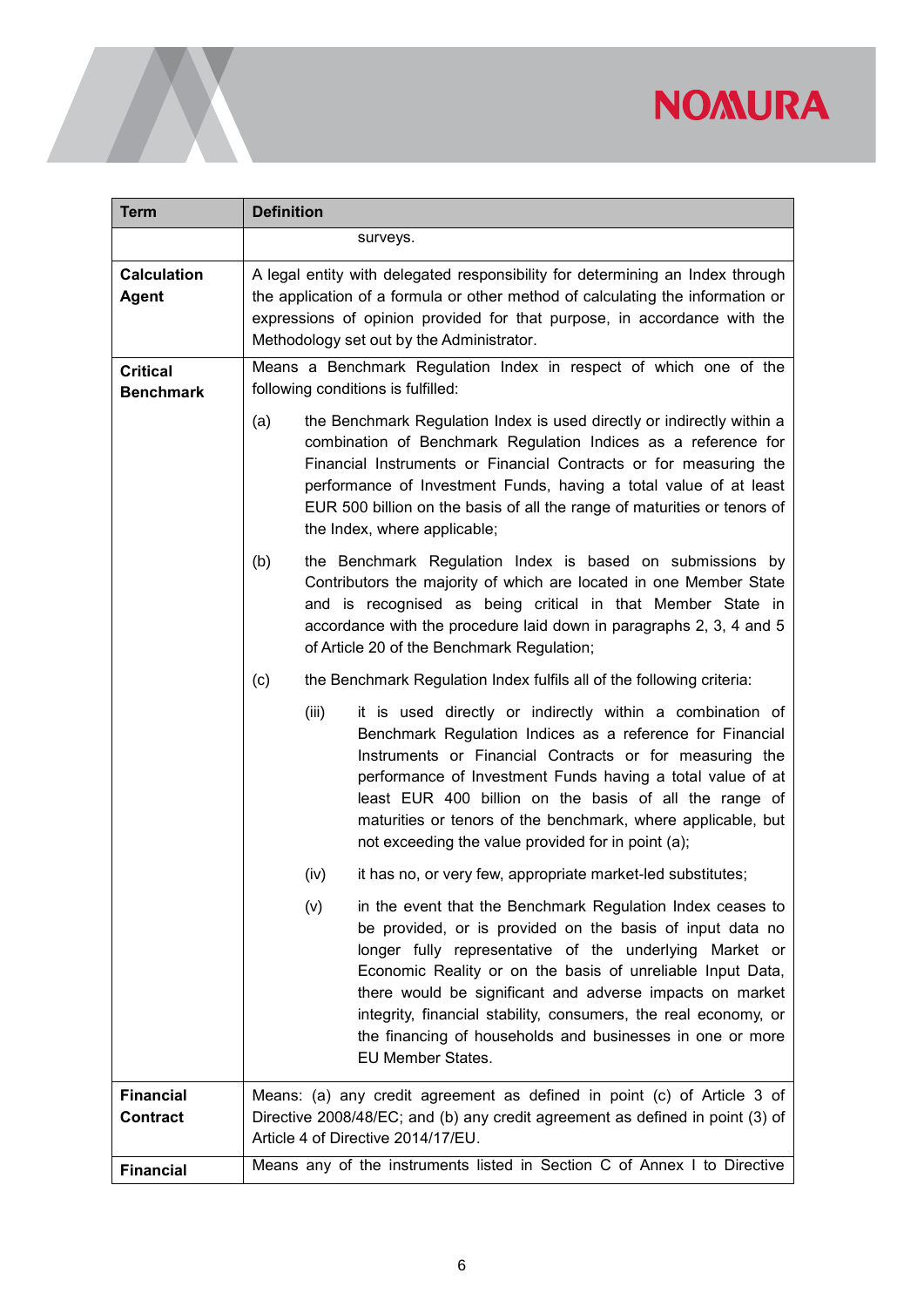<span id="page-6-0"></span>

| <b>Term</b>                         | <b>Definition</b>                                                                                                                                                                                                                                                                                                                                                                                                                                                        |
|-------------------------------------|--------------------------------------------------------------------------------------------------------------------------------------------------------------------------------------------------------------------------------------------------------------------------------------------------------------------------------------------------------------------------------------------------------------------------------------------------------------------------|
|                                     | surveys.                                                                                                                                                                                                                                                                                                                                                                                                                                                                 |
| <b>Calculation</b><br><b>Agent</b>  | A legal entity with delegated responsibility for determining an Index through<br>the application of a formula or other method of calculating the information or<br>expressions of opinion provided for that purpose, in accordance with the<br>Methodology set out by the Administrator.                                                                                                                                                                                 |
| <b>Critical</b><br><b>Benchmark</b> | Means a Benchmark Regulation Index in respect of which one of the<br>following conditions is fulfilled:                                                                                                                                                                                                                                                                                                                                                                  |
|                                     | the Benchmark Regulation Index is used directly or indirectly within a<br>(a)<br>combination of Benchmark Regulation Indices as a reference for<br>Financial Instruments or Financial Contracts or for measuring the<br>performance of Investment Funds, having a total value of at least<br>EUR 500 billion on the basis of all the range of maturities or tenors of<br>the Index, where applicable;                                                                    |
|                                     | the Benchmark Regulation Index is based on submissions by<br>(b)<br>Contributors the majority of which are located in one Member State<br>and is recognised as being critical in that Member State in<br>accordance with the procedure laid down in paragraphs 2, 3, 4 and 5<br>of Article 20 of the Benchmark Regulation;                                                                                                                                               |
|                                     | (c)<br>the Benchmark Regulation Index fulfils all of the following criteria:                                                                                                                                                                                                                                                                                                                                                                                             |
|                                     | (iii)<br>it is used directly or indirectly within a combination of<br>Benchmark Regulation Indices as a reference for Financial<br>Instruments or Financial Contracts or for measuring the<br>performance of Investment Funds having a total value of at<br>least EUR 400 billion on the basis of all the range of<br>maturities or tenors of the benchmark, where applicable, but<br>not exceeding the value provided for in point (a);                                 |
|                                     | it has no, or very few, appropriate market-led substitutes;<br>(iv)                                                                                                                                                                                                                                                                                                                                                                                                      |
|                                     | in the event that the Benchmark Regulation Index ceases to<br>(v)<br>be provided, or is provided on the basis of input data no<br>longer fully representative of the underlying Market or<br>Economic Reality or on the basis of unreliable Input Data,<br>there would be significant and adverse impacts on market<br>integrity, financial stability, consumers, the real economy, or<br>the financing of households and businesses in one or more<br>EU Member States. |
| <b>Financial</b><br><b>Contract</b> | Means: (a) any credit agreement as defined in point (c) of Article 3 of<br>Directive 2008/48/EC; and (b) any credit agreement as defined in point (3) of<br>Article 4 of Directive 2014/17/EU.                                                                                                                                                                                                                                                                           |
| <b>Financial</b>                    | Means any of the instruments listed in Section C of Annex I to Directive                                                                                                                                                                                                                                                                                                                                                                                                 |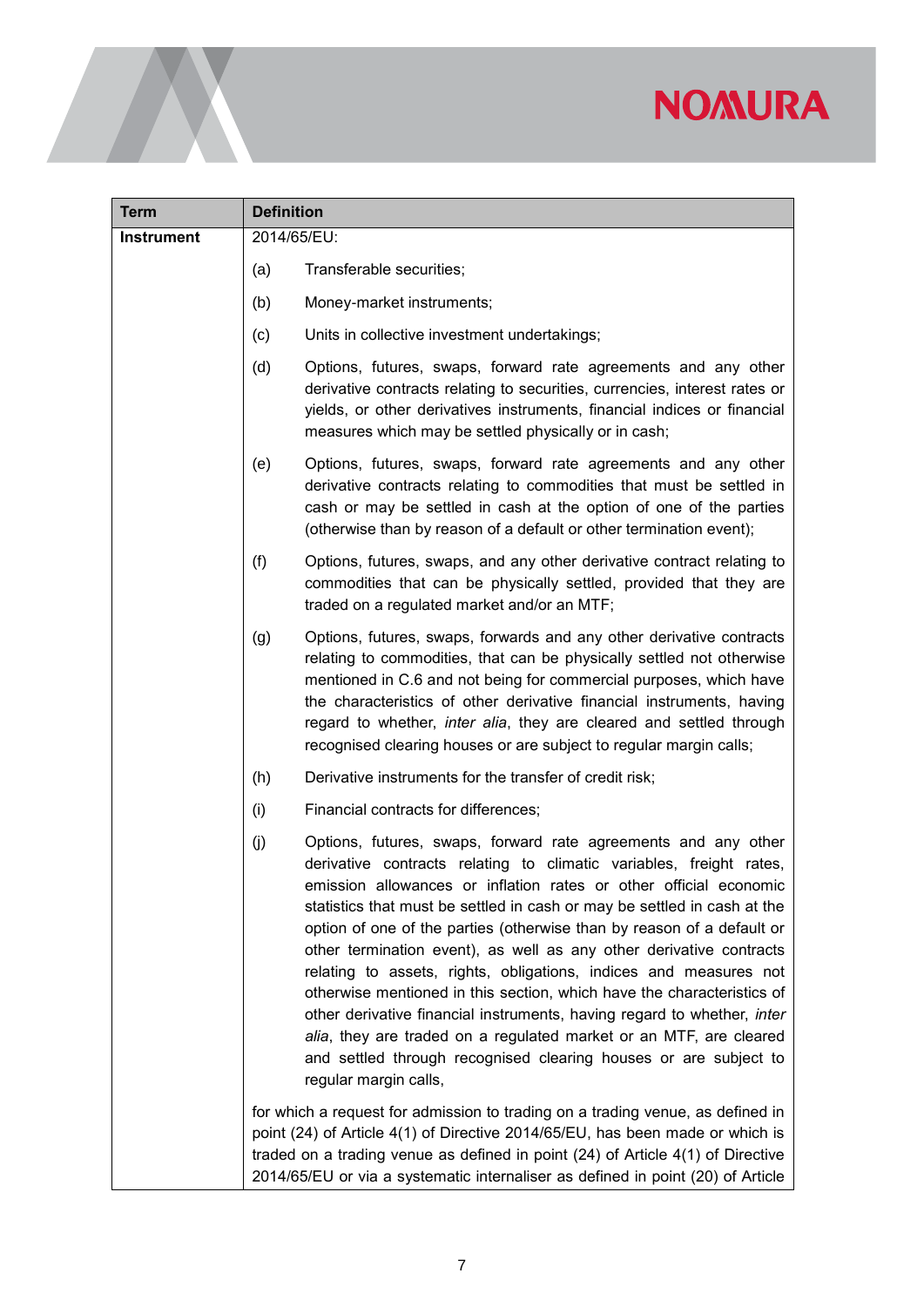| Term       | <b>Definition</b>                                                                                                                                                                                                                                                                                                                                                                                                                                                                                                                                                                                                                                                                                                                                                                                                                           |
|------------|---------------------------------------------------------------------------------------------------------------------------------------------------------------------------------------------------------------------------------------------------------------------------------------------------------------------------------------------------------------------------------------------------------------------------------------------------------------------------------------------------------------------------------------------------------------------------------------------------------------------------------------------------------------------------------------------------------------------------------------------------------------------------------------------------------------------------------------------|
| Instrument | 2014/65/EU:                                                                                                                                                                                                                                                                                                                                                                                                                                                                                                                                                                                                                                                                                                                                                                                                                                 |
|            | (a)<br>Transferable securities;                                                                                                                                                                                                                                                                                                                                                                                                                                                                                                                                                                                                                                                                                                                                                                                                             |
|            | (b)<br>Money-market instruments;                                                                                                                                                                                                                                                                                                                                                                                                                                                                                                                                                                                                                                                                                                                                                                                                            |
|            | (c)<br>Units in collective investment undertakings;                                                                                                                                                                                                                                                                                                                                                                                                                                                                                                                                                                                                                                                                                                                                                                                         |
|            | (d)<br>Options, futures, swaps, forward rate agreements and any other<br>derivative contracts relating to securities, currencies, interest rates or<br>yields, or other derivatives instruments, financial indices or financial<br>measures which may be settled physically or in cash;                                                                                                                                                                                                                                                                                                                                                                                                                                                                                                                                                     |
|            | Options, futures, swaps, forward rate agreements and any other<br>(e)<br>derivative contracts relating to commodities that must be settled in<br>cash or may be settled in cash at the option of one of the parties<br>(otherwise than by reason of a default or other termination event);                                                                                                                                                                                                                                                                                                                                                                                                                                                                                                                                                  |
|            | (f)<br>Options, futures, swaps, and any other derivative contract relating to<br>commodities that can be physically settled, provided that they are<br>traded on a regulated market and/or an MTF;                                                                                                                                                                                                                                                                                                                                                                                                                                                                                                                                                                                                                                          |
|            | Options, futures, swaps, forwards and any other derivative contracts<br>(g)<br>relating to commodities, that can be physically settled not otherwise<br>mentioned in C.6 and not being for commercial purposes, which have<br>the characteristics of other derivative financial instruments, having<br>regard to whether, <i>inter alia</i> , they are cleared and settled through<br>recognised clearing houses or are subject to regular margin calls;                                                                                                                                                                                                                                                                                                                                                                                    |
|            | (h)<br>Derivative instruments for the transfer of credit risk;                                                                                                                                                                                                                                                                                                                                                                                                                                                                                                                                                                                                                                                                                                                                                                              |
|            | (i)<br>Financial contracts for differences;                                                                                                                                                                                                                                                                                                                                                                                                                                                                                                                                                                                                                                                                                                                                                                                                 |
|            | (j)<br>Options, futures, swaps, forward rate agreements and any other<br>derivative contracts relating to climatic variables, freight rates,<br>emission allowances or inflation rates or other official economic<br>statistics that must be settled in cash or may be settled in cash at the<br>option of one of the parties (otherwise than by reason of a default or<br>other termination event), as well as any other derivative contracts<br>relating to assets, rights, obligations, indices and measures not<br>otherwise mentioned in this section, which have the characteristics of<br>other derivative financial instruments, having regard to whether, inter<br>alia, they are traded on a regulated market or an MTF, are cleared<br>and settled through recognised clearing houses or are subject to<br>regular margin calls, |
|            | for which a request for admission to trading on a trading venue, as defined in<br>point (24) of Article 4(1) of Directive 2014/65/EU, has been made or which is<br>traded on a trading venue as defined in point (24) of Article 4(1) of Directive<br>2014/65/EU or via a systematic internaliser as defined in point (20) of Article                                                                                                                                                                                                                                                                                                                                                                                                                                                                                                       |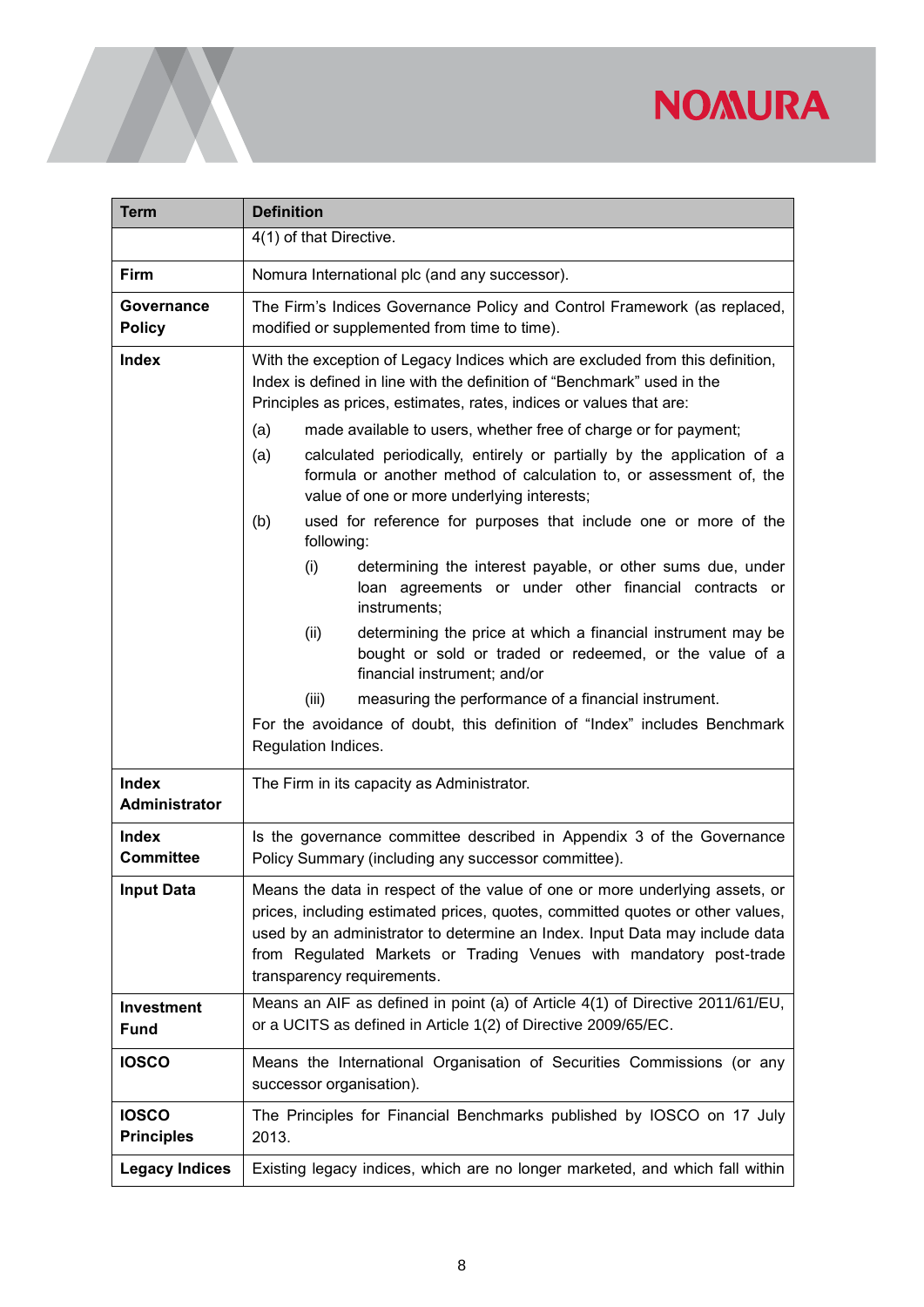| <b>Term</b>                       | <b>Definition</b>                                                                                                                                                                                                                                                                                                                                                                                                                                                                                                                                                                                                                                                                                                                                                                                                                                                                                                                                                                                                                                                                            |
|-----------------------------------|----------------------------------------------------------------------------------------------------------------------------------------------------------------------------------------------------------------------------------------------------------------------------------------------------------------------------------------------------------------------------------------------------------------------------------------------------------------------------------------------------------------------------------------------------------------------------------------------------------------------------------------------------------------------------------------------------------------------------------------------------------------------------------------------------------------------------------------------------------------------------------------------------------------------------------------------------------------------------------------------------------------------------------------------------------------------------------------------|
|                                   | $\overline{4(1)}$ of that Directive.                                                                                                                                                                                                                                                                                                                                                                                                                                                                                                                                                                                                                                                                                                                                                                                                                                                                                                                                                                                                                                                         |
| Firm                              | Nomura International plc (and any successor).                                                                                                                                                                                                                                                                                                                                                                                                                                                                                                                                                                                                                                                                                                                                                                                                                                                                                                                                                                                                                                                |
| Governance<br><b>Policy</b>       | The Firm's Indices Governance Policy and Control Framework (as replaced,<br>modified or supplemented from time to time).                                                                                                                                                                                                                                                                                                                                                                                                                                                                                                                                                                                                                                                                                                                                                                                                                                                                                                                                                                     |
| <b>Index</b>                      | With the exception of Legacy Indices which are excluded from this definition,<br>Index is defined in line with the definition of "Benchmark" used in the<br>Principles as prices, estimates, rates, indices or values that are:<br>made available to users, whether free of charge or for payment;<br>(a)<br>calculated periodically, entirely or partially by the application of a<br>(a)<br>formula or another method of calculation to, or assessment of, the<br>value of one or more underlying interests;<br>used for reference for purposes that include one or more of the<br>(b)<br>following:<br>determining the interest payable, or other sums due, under<br>(i)<br>loan agreements or under other financial contracts or<br>instruments;<br>determining the price at which a financial instrument may be<br>(ii)<br>bought or sold or traded or redeemed, or the value of a<br>financial instrument; and/or<br>measuring the performance of a financial instrument.<br>(iii)<br>For the avoidance of doubt, this definition of "Index" includes Benchmark<br>Regulation Indices. |
| <b>Index</b><br>Administrator     | The Firm in its capacity as Administrator.                                                                                                                                                                                                                                                                                                                                                                                                                                                                                                                                                                                                                                                                                                                                                                                                                                                                                                                                                                                                                                                   |
| <b>Index</b><br><b>Committee</b>  | Is the governance committee described in Appendix 3 of the Governance<br>Policy Summary (including any successor committee).                                                                                                                                                                                                                                                                                                                                                                                                                                                                                                                                                                                                                                                                                                                                                                                                                                                                                                                                                                 |
| <b>Input Data</b>                 | Means the data in respect of the value of one or more underlying assets, or<br>prices, including estimated prices, quotes, committed quotes or other values,<br>used by an administrator to determine an Index. Input Data may include data<br>from Regulated Markets or Trading Venues with mandatory post-trade<br>transparency requirements.                                                                                                                                                                                                                                                                                                                                                                                                                                                                                                                                                                                                                                                                                                                                              |
| <b>Investment</b><br><b>Fund</b>  | Means an AIF as defined in point (a) of Article 4(1) of Directive 2011/61/EU,<br>or a UCITS as defined in Article 1(2) of Directive 2009/65/EC.                                                                                                                                                                                                                                                                                                                                                                                                                                                                                                                                                                                                                                                                                                                                                                                                                                                                                                                                              |
| <b>IOSCO</b>                      | Means the International Organisation of Securities Commissions (or any<br>successor organisation).                                                                                                                                                                                                                                                                                                                                                                                                                                                                                                                                                                                                                                                                                                                                                                                                                                                                                                                                                                                           |
| <b>IOSCO</b><br><b>Principles</b> | The Principles for Financial Benchmarks published by IOSCO on 17 July<br>2013.                                                                                                                                                                                                                                                                                                                                                                                                                                                                                                                                                                                                                                                                                                                                                                                                                                                                                                                                                                                                               |
| <b>Legacy Indices</b>             | Existing legacy indices, which are no longer marketed, and which fall within                                                                                                                                                                                                                                                                                                                                                                                                                                                                                                                                                                                                                                                                                                                                                                                                                                                                                                                                                                                                                 |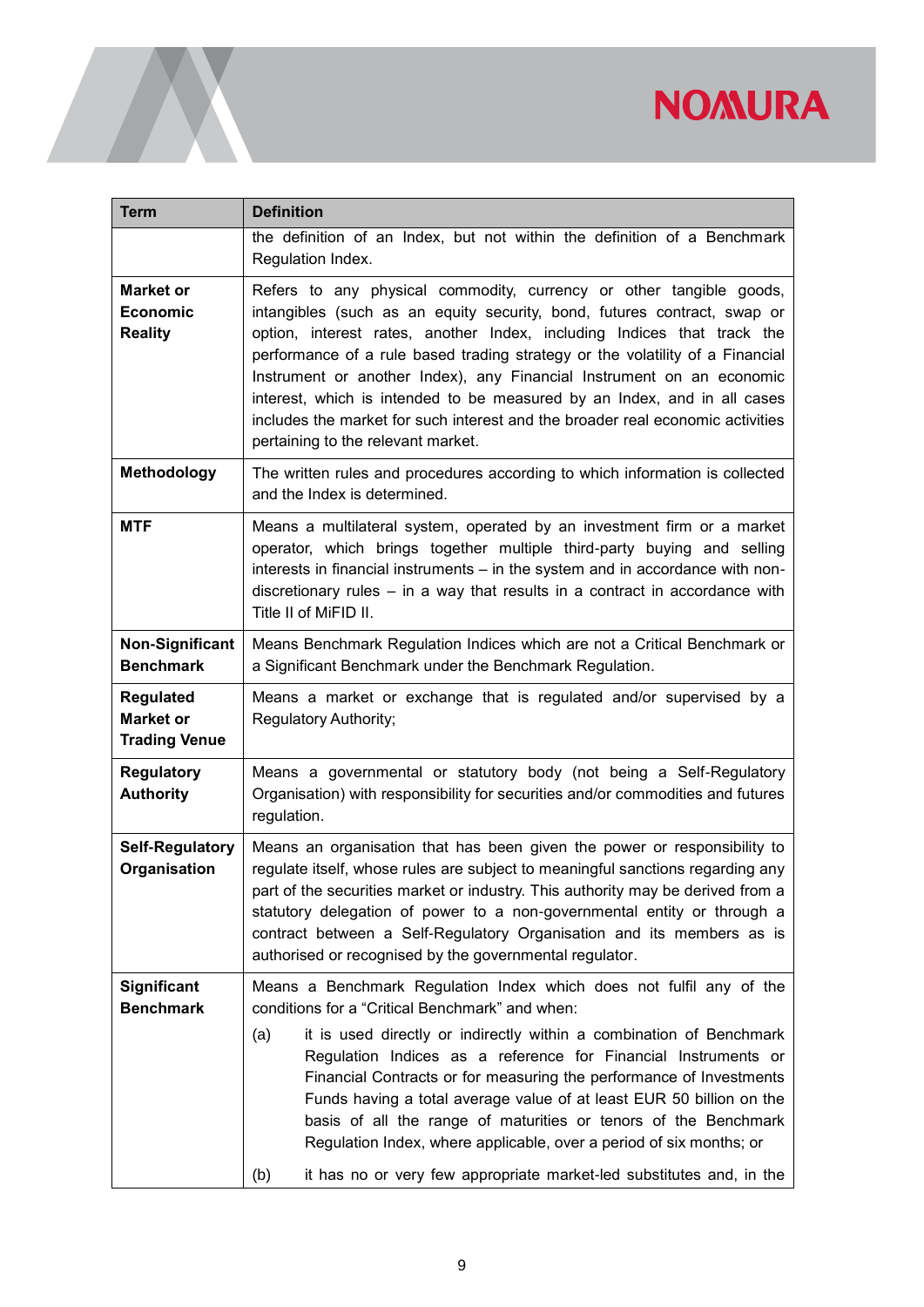| <b>Term</b>                                                  | <b>Definition</b>                                                                                                                                                                                                                                                                                                                                                                                                                                                                                                                                                                                                                              |
|--------------------------------------------------------------|------------------------------------------------------------------------------------------------------------------------------------------------------------------------------------------------------------------------------------------------------------------------------------------------------------------------------------------------------------------------------------------------------------------------------------------------------------------------------------------------------------------------------------------------------------------------------------------------------------------------------------------------|
|                                                              | the definition of an Index, but not within the definition of a Benchmark<br>Regulation Index.                                                                                                                                                                                                                                                                                                                                                                                                                                                                                                                                                  |
| <b>Market or</b><br>Economic<br><b>Reality</b>               | Refers to any physical commodity, currency or other tangible goods,<br>intangibles (such as an equity security, bond, futures contract, swap or<br>option, interest rates, another Index, including Indices that track the<br>performance of a rule based trading strategy or the volatility of a Financial<br>Instrument or another Index), any Financial Instrument on an economic<br>interest, which is intended to be measured by an Index, and in all cases<br>includes the market for such interest and the broader real economic activities<br>pertaining to the relevant market.                                                       |
| Methodology                                                  | The written rules and procedures according to which information is collected<br>and the Index is determined.                                                                                                                                                                                                                                                                                                                                                                                                                                                                                                                                   |
| <b>MTF</b>                                                   | Means a multilateral system, operated by an investment firm or a market<br>operator, which brings together multiple third-party buying and selling<br>interests in financial instruments - in the system and in accordance with non-<br>discretionary rules $-$ in a way that results in a contract in accordance with<br>Title II of MiFID II.                                                                                                                                                                                                                                                                                                |
| <b>Non-Significant</b><br><b>Benchmark</b>                   | Means Benchmark Regulation Indices which are not a Critical Benchmark or<br>a Significant Benchmark under the Benchmark Regulation.                                                                                                                                                                                                                                                                                                                                                                                                                                                                                                            |
| <b>Regulated</b><br><b>Market or</b><br><b>Trading Venue</b> | Means a market or exchange that is regulated and/or supervised by a<br>Regulatory Authority;                                                                                                                                                                                                                                                                                                                                                                                                                                                                                                                                                   |
| <b>Regulatory</b><br><b>Authority</b>                        | Means a governmental or statutory body (not being a Self-Regulatory<br>Organisation) with responsibility for securities and/or commodities and futures<br>regulation.                                                                                                                                                                                                                                                                                                                                                                                                                                                                          |
| <b>Self-Regulatory</b><br>Organisation                       | Means an organisation that has been given the power or responsibility to<br>regulate itself, whose rules are subject to meaningful sanctions regarding any<br>part of the securities market or industry. This authority may be derived from a<br>statutory delegation of power to a non-governmental entity or through a<br>contract between a Self-Regulatory Organisation and its members as is<br>authorised or recognised by the governmental regulator.                                                                                                                                                                                   |
| <b>Significant</b><br><b>Benchmark</b>                       | Means a Benchmark Regulation Index which does not fulfil any of the<br>conditions for a "Critical Benchmark" and when:<br>it is used directly or indirectly within a combination of Benchmark<br>(a)<br>Regulation Indices as a reference for Financial Instruments or<br>Financial Contracts or for measuring the performance of Investments<br>Funds having a total average value of at least EUR 50 billion on the<br>basis of all the range of maturities or tenors of the Benchmark<br>Regulation Index, where applicable, over a period of six months; or<br>it has no or very few appropriate market-led substitutes and, in the<br>(b) |